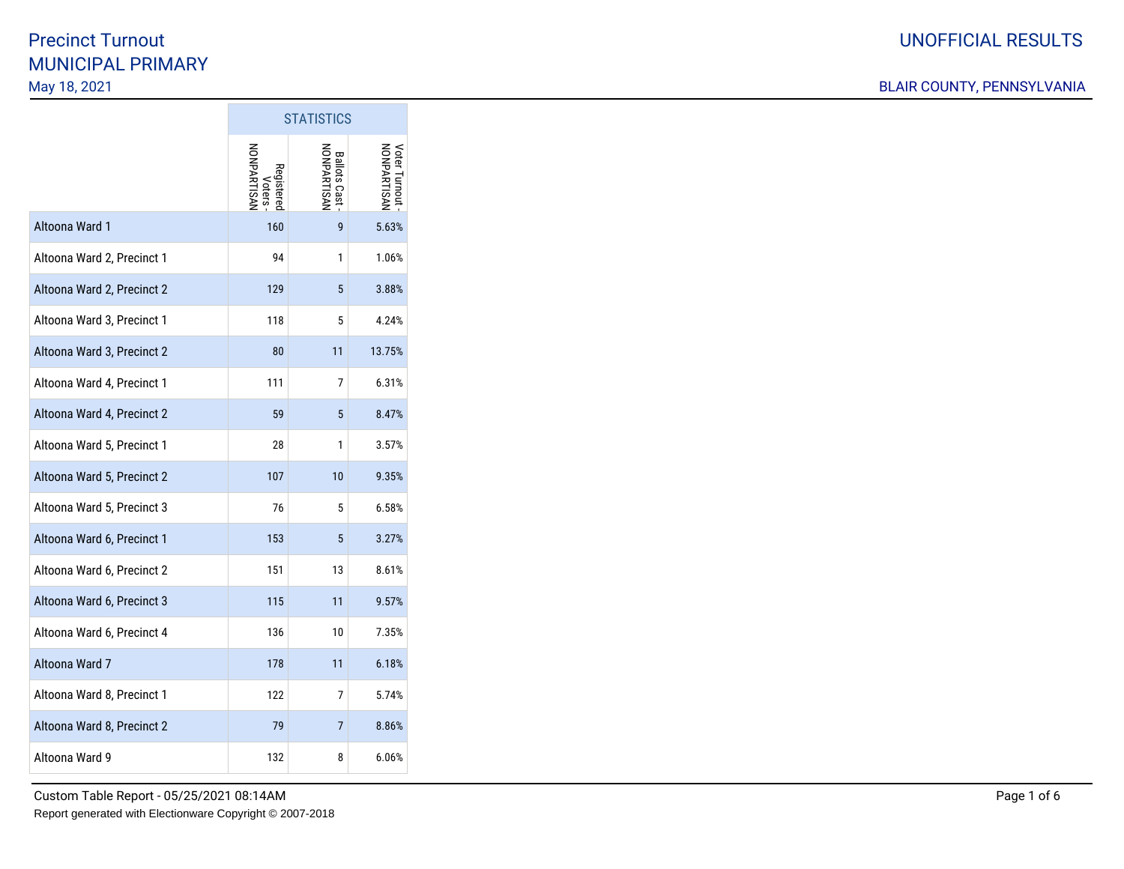|                            | <b>STATISTICS</b>                          |                                        |                                |
|----------------------------|--------------------------------------------|----------------------------------------|--------------------------------|
|                            | <b>NONPARTISAI</b><br>Registered<br>Voters | <b>NASTISAN</b><br><b>Ballots Cast</b> | Voter Turnout -<br>NONPARTISAN |
| Altoona Ward 1             | 160                                        | 9                                      | 5.63%                          |
| Altoona Ward 2, Precinct 1 | 94                                         | 1                                      | 1.06%                          |
| Altoona Ward 2, Precinct 2 | 129                                        | 5                                      | 3.88%                          |
| Altoona Ward 3, Precinct 1 | 118                                        | 5                                      | 4.24%                          |
| Altoona Ward 3, Precinct 2 | 80                                         | 11                                     | 13.75%                         |
| Altoona Ward 4, Precinct 1 | 111                                        | 7                                      | 6.31%                          |
| Altoona Ward 4, Precinct 2 | 59                                         | 5                                      | 8.47%                          |
| Altoona Ward 5, Precinct 1 | 28                                         | 1                                      | 3.57%                          |
| Altoona Ward 5, Precinct 2 | 107                                        | 10                                     | 9.35%                          |
| Altoona Ward 5, Precinct 3 | 76                                         | 5                                      | 6.58%                          |
| Altoona Ward 6, Precinct 1 | 153                                        | 5                                      | 3.27%                          |
| Altoona Ward 6, Precinct 2 | 151                                        | 13                                     | 8.61%                          |
| Altoona Ward 6, Precinct 3 | 115                                        | 11                                     | 9.57%                          |
| Altoona Ward 6, Precinct 4 | 136                                        | 10                                     | 7.35%                          |
| Altoona Ward 7             | 178                                        | 11                                     | 6.18%                          |
| Altoona Ward 8, Precinct 1 | 122                                        | 7                                      | 5.74%                          |
| Altoona Ward 8, Precinct 2 | 79                                         | 7                                      | 8.86%                          |
| Altoona Ward 9             | 132                                        | 8                                      | 6.06%                          |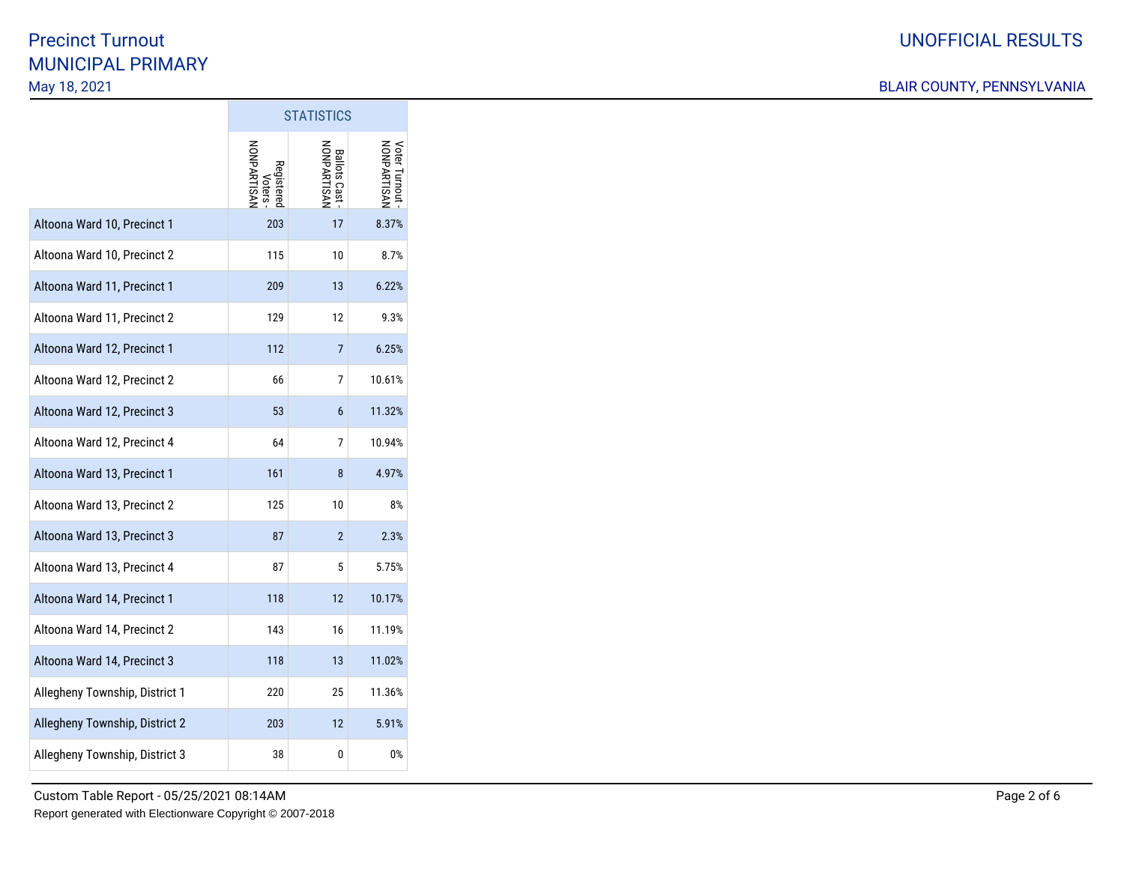|                                | <b>STATISTICS</b>                               |                                    |                              |
|--------------------------------|-------------------------------------------------|------------------------------------|------------------------------|
|                                | <b>NONPARTISAI</b><br>Registere<br><b>Oters</b> | NONPARTISAN<br><b>Ballots Cast</b> | NONPARTISAN<br>/oter Turnout |
| Altoona Ward 10, Precinct 1    | 203                                             | 17                                 | 8.37%                        |
| Altoona Ward 10, Precinct 2    | 115                                             | 10                                 | 8.7%                         |
| Altoona Ward 11, Precinct 1    | 209                                             | 13                                 | 6.22%                        |
| Altoona Ward 11, Precinct 2    | 129                                             | 12                                 | 9.3%                         |
| Altoona Ward 12, Precinct 1    | 112                                             | $\overline{7}$                     | 6.25%                        |
| Altoona Ward 12, Precinct 2    | 66                                              | 7                                  | 10.61%                       |
| Altoona Ward 12, Precinct 3    | 53                                              | 6                                  | 11.32%                       |
| Altoona Ward 12, Precinct 4    | 64                                              | 7                                  | 10.94%                       |
| Altoona Ward 13, Precinct 1    | 161                                             | 8                                  | 4.97%                        |
| Altoona Ward 13, Precinct 2    | 125                                             | 10                                 | 8%                           |
| Altoona Ward 13, Precinct 3    | 87                                              | $\mathbf{2}$                       | 2.3%                         |
| Altoona Ward 13, Precinct 4    | 87                                              | 5                                  | 5.75%                        |
| Altoona Ward 14, Precinct 1    | 118                                             | 12                                 | 10.17%                       |
| Altoona Ward 14, Precinct 2    | 143                                             | 16                                 | 11.19%                       |
| Altoona Ward 14, Precinct 3    | 118                                             | 13                                 | 11.02%                       |
| Allegheny Township, District 1 | 220                                             | 25                                 | 11.36%                       |
| Allegheny Township, District 2 | 203                                             | 12                                 | 5.91%                        |
| Allegheny Township, District 3 | 38                                              | 0                                  | 0%                           |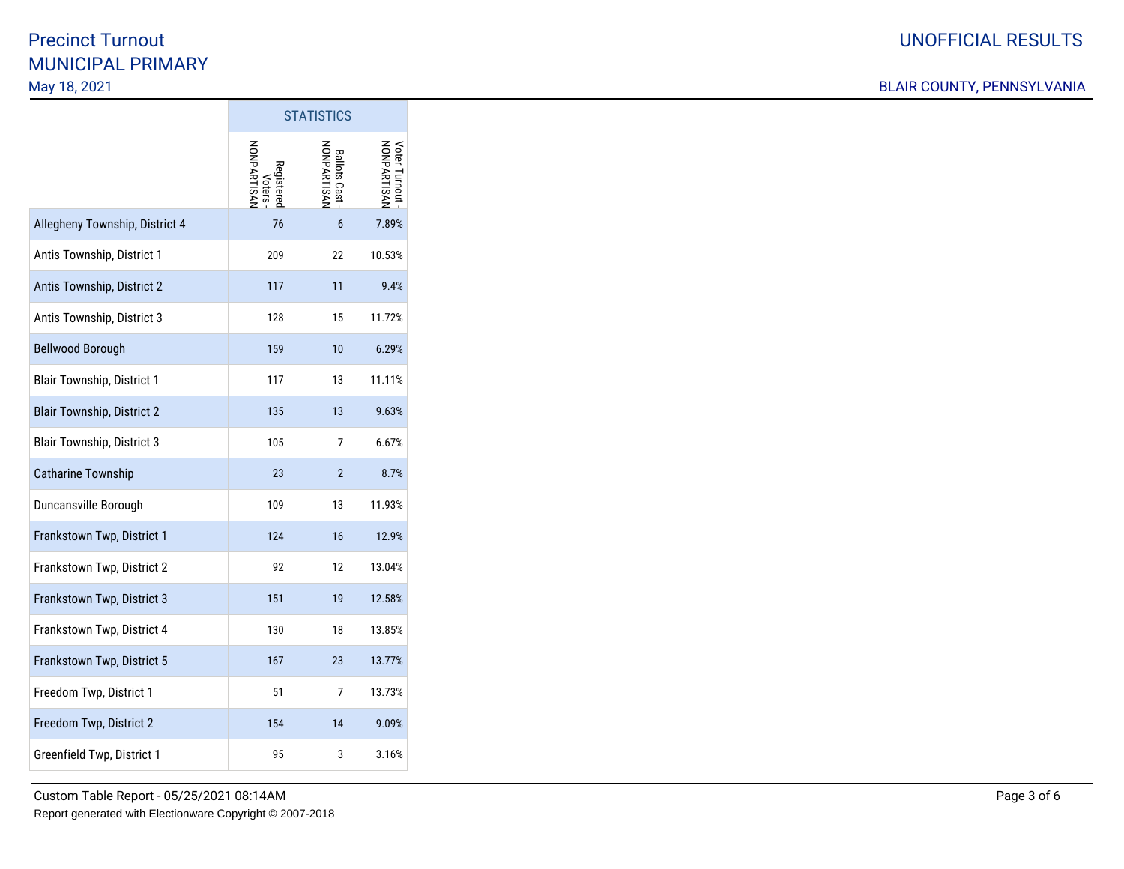|                                   | <b>STATISTICS</b>                          |                                    |                                |
|-----------------------------------|--------------------------------------------|------------------------------------|--------------------------------|
|                                   | <b>NONPARTISAN</b><br>Registerer<br>/oters | NONPARTISAN<br><b>Ballots Cast</b> | Voter Turnout -<br>NONPARTISAN |
| Allegheny Township, District 4    | 76                                         | 6                                  | 7.89%                          |
| Antis Township, District 1        | 209                                        | 22                                 | 10.53%                         |
| Antis Township, District 2        | 117                                        | 11                                 | 9.4%                           |
| Antis Township, District 3        | 128                                        | 15                                 | 11.72%                         |
| <b>Bellwood Borough</b>           | 159                                        | 10                                 | 6.29%                          |
| <b>Blair Township, District 1</b> | 117                                        | 13                                 | 11.11%                         |
| <b>Blair Township, District 2</b> | 135                                        | 13                                 | 9.63%                          |
| <b>Blair Township, District 3</b> | 105                                        | 7                                  | 6.67%                          |
| <b>Catharine Township</b>         | 23                                         | $\overline{2}$                     | 8.7%                           |
| Duncansville Borough              | 109                                        | 13                                 | 11.93%                         |
| Frankstown Twp, District 1        | 124                                        | 16                                 | 12.9%                          |
| Frankstown Twp, District 2        | 92                                         | 12                                 | 13.04%                         |
| Frankstown Twp, District 3        | 151                                        | 19                                 | 12.58%                         |
| Frankstown Twp, District 4        | 130                                        | 18                                 | 13.85%                         |
| Frankstown Twp, District 5        | 167                                        | 23                                 | 13.77%                         |
| Freedom Twp, District 1           | 51                                         | 7                                  | 13.73%                         |
| Freedom Twp, District 2           | 154                                        | 14                                 | 9.09%                          |
| Greenfield Twp, District 1        | 95                                         | 3                                  | 3.16%                          |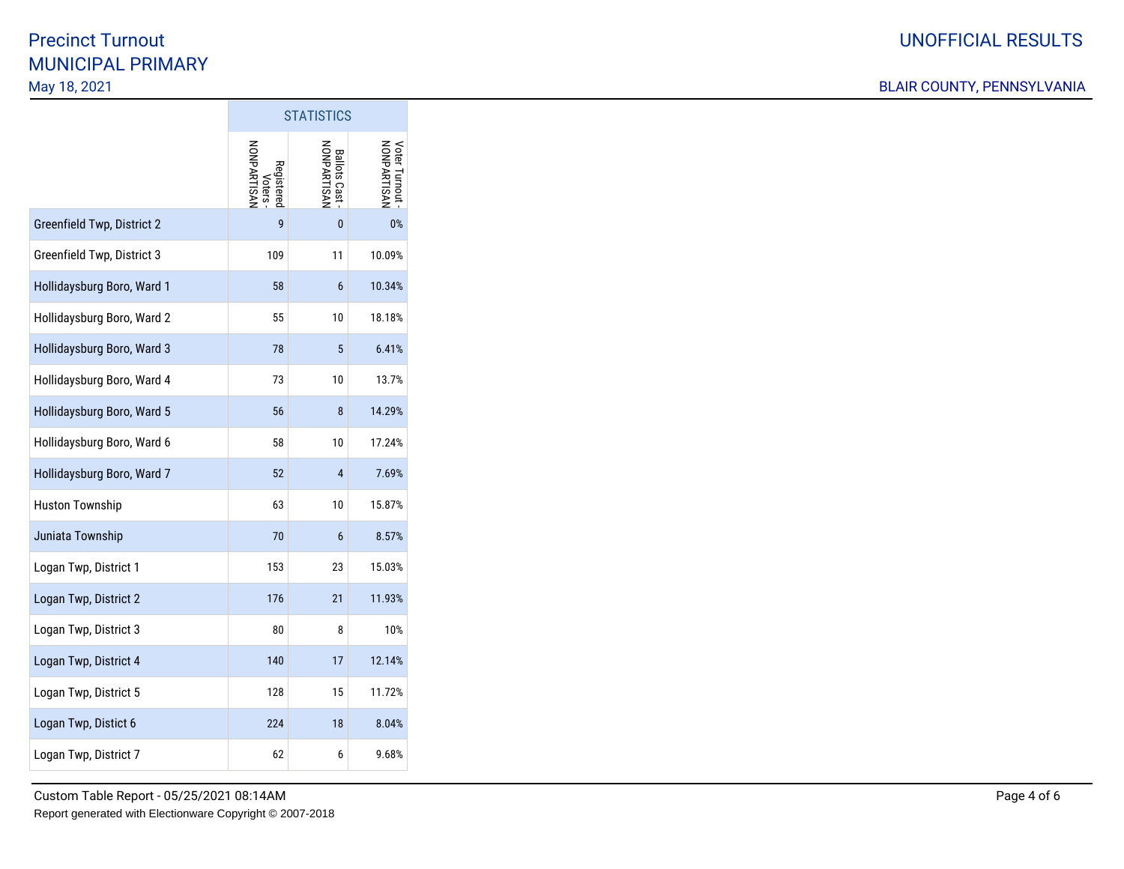|                            | <b>STATISTICS</b>                    |                                    |                                |
|----------------------------|--------------------------------------|------------------------------------|--------------------------------|
|                            | Voters -<br>NONPARTISAN<br>Registere | NONPARTISAN<br><b>Ballots Cast</b> | Voter Turnout -<br>NONPARTISAN |
| Greenfield Twp, District 2 | 9                                    | $\mathbf{0}$                       | $0\%$                          |
| Greenfield Twp, District 3 | 109                                  | 11                                 | 10.09%                         |
| Hollidaysburg Boro, Ward 1 | 58                                   | 6                                  | 10.34%                         |
| Hollidaysburg Boro, Ward 2 | 55                                   | 10                                 | 18.18%                         |
| Hollidaysburg Boro, Ward 3 | 78                                   | 5                                  | 6.41%                          |
| Hollidaysburg Boro, Ward 4 | 73                                   | 10                                 | 13.7%                          |
| Hollidaysburg Boro, Ward 5 | 56                                   | 8                                  | 14.29%                         |
| Hollidaysburg Boro, Ward 6 | 58                                   | 10                                 | 17.24%                         |
| Hollidaysburg Boro, Ward 7 | 52                                   | $\overline{4}$                     | 7.69%                          |
| <b>Huston Township</b>     | 63                                   | 10                                 | 15.87%                         |
| Juniata Township           | 70                                   | 6                                  | 8.57%                          |
| Logan Twp, District 1      | 153                                  | 23                                 | 15.03%                         |
| Logan Twp, District 2      | 176                                  | 21                                 | 11.93%                         |
| Logan Twp, District 3      | 80                                   | 8                                  | 10%                            |
| Logan Twp, District 4      | 140                                  | 17                                 | 12.14%                         |
| Logan Twp, District 5      | 128                                  | 15                                 | 11.72%                         |
| Logan Twp, Distict 6       | 224                                  | 18                                 | 8.04%                          |
| Logan Twp, District 7      | 62                                   | 6                                  | 9.68%                          |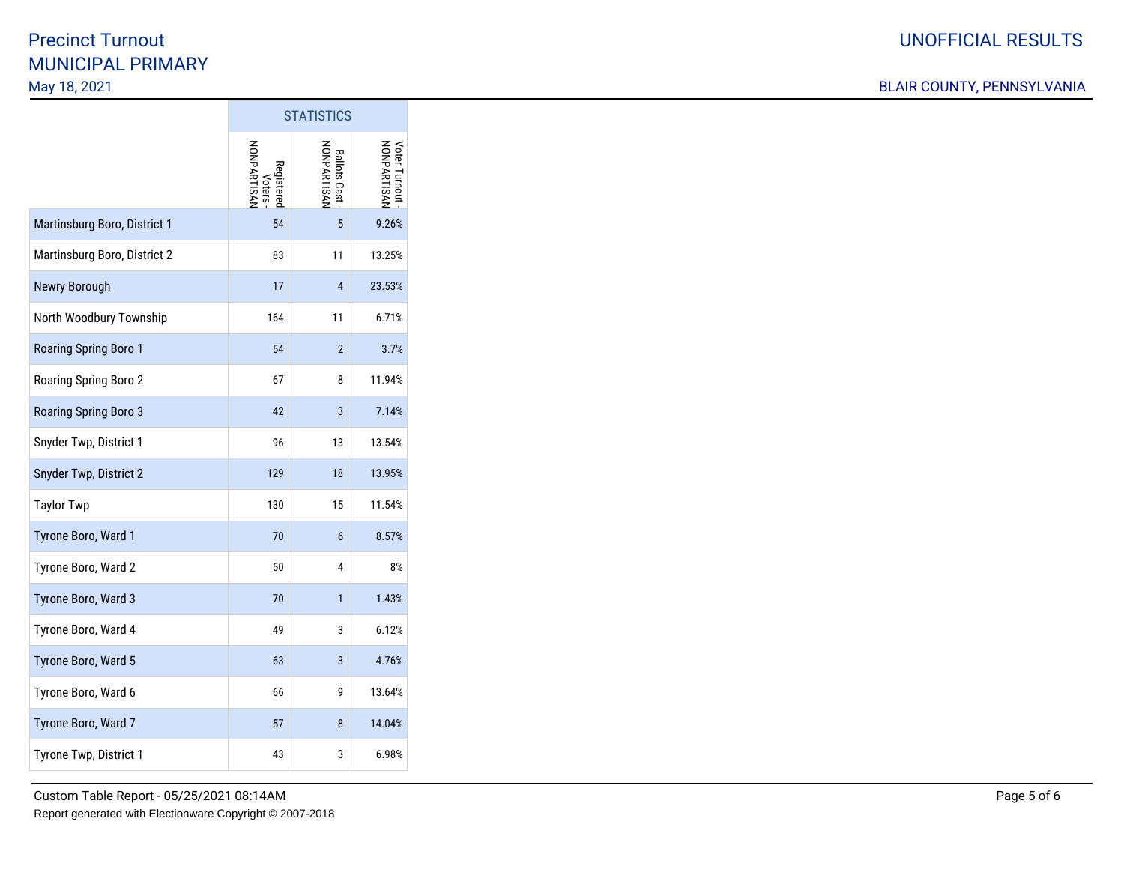|                              | <b>STATISTICS</b>                          |                                    |                                     |
|------------------------------|--------------------------------------------|------------------------------------|-------------------------------------|
|                              | <b>NONPARTISAN</b><br>Registerec<br>Voters | NONPARTISAN<br><b>Ballots Cast</b> | <b>NONPARTISAI</b><br>Voter Turnout |
| Martinsburg Boro, District 1 | 54                                         | 5                                  | 9.26%                               |
| Martinsburg Boro, District 2 | 83                                         | 11                                 | 13.25%                              |
| Newry Borough                | 17                                         | $\overline{4}$                     | 23.53%                              |
| North Woodbury Township      | 164                                        | 11                                 | 6.71%                               |
| Roaring Spring Boro 1        | 54                                         | $\overline{2}$                     | 3.7%                                |
| Roaring Spring Boro 2        | 67                                         | 8                                  | 11.94%                              |
| Roaring Spring Boro 3        | 42                                         | 3                                  | 7.14%                               |
| Snyder Twp, District 1       | 96                                         | 13                                 | 13.54%                              |
| Snyder Twp, District 2       | 129                                        | 18                                 | 13.95%                              |
| <b>Taylor Twp</b>            | 130                                        | 15                                 | 11.54%                              |
| Tyrone Boro, Ward 1          | 70                                         | 6                                  | 8.57%                               |
| Tyrone Boro, Ward 2          | 50                                         | 4                                  | 8%                                  |
| Tyrone Boro, Ward 3          | 70                                         | $\mathbf{1}$                       | 1.43%                               |
| Tyrone Boro, Ward 4          | 49                                         | 3                                  | 6.12%                               |
| Tyrone Boro, Ward 5          | 63                                         | 3                                  | 4.76%                               |
| Tyrone Boro, Ward 6          | 66                                         | 9                                  | 13.64%                              |
| Tyrone Boro, Ward 7          | 57                                         | 8                                  | 14.04%                              |
| Tyrone Twp, District 1       | 43                                         | 3                                  | 6.98%                               |